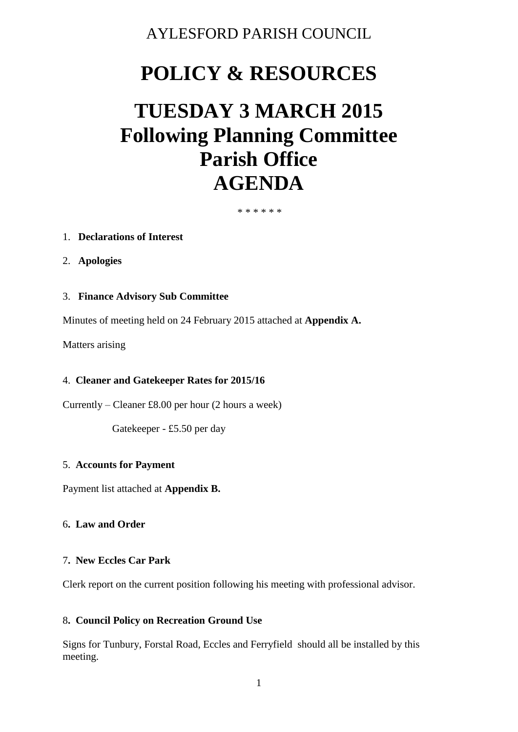# AYLESFORD PARISH COUNCIL

# **POLICY & RESOURCES**

# **TUESDAY 3 MARCH 2015 Following Planning Committee Parish Office AGENDA**

\* \* \* \* \* \*

#### 1. **Declarations of Interest**

2. **Apologies**

# 3. **Finance Advisory Sub Committee**

Minutes of meeting held on 24 February 2015 attached at **Appendix A.** 

Matters arising

#### 4. **Cleaner and Gatekeeper Rates for 2015/16**

Currently – Cleaner £8.00 per hour (2 hours a week)

Gatekeeper - £5.50 per day

#### 5. **Accounts for Payment**

Payment list attached at **Appendix B.** 

#### 6**. Law and Order**

#### 7**. New Eccles Car Park**

Clerk report on the current position following his meeting with professional advisor.

#### 8**. Council Policy on Recreation Ground Use**

Signs for Tunbury, Forstal Road, Eccles and Ferryfield should all be installed by this meeting.